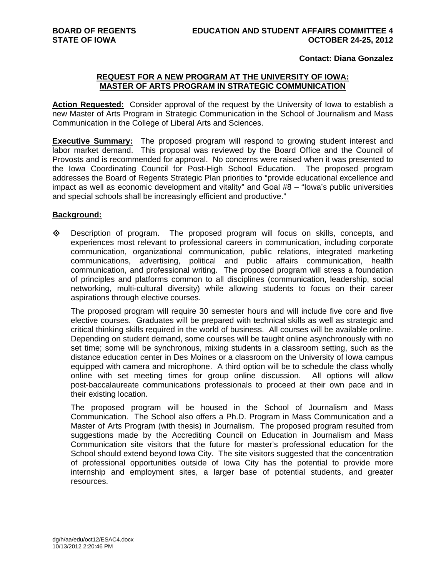## **Contact: Diana Gonzalez**

# **REQUEST FOR A NEW PROGRAM AT THE UNIVERSITY OF IOWA: MASTER OF ARTS PROGRAM IN STRATEGIC COMMUNICATION**

**Action Requested:** Consider approval of the request by the University of Iowa to establish a new Master of Arts Program in Strategic Communication in the School of Journalism and Mass Communication in the College of Liberal Arts and Sciences.

**Executive Summary:** The proposed program will respond to growing student interest and labor market demand. This proposal was reviewed by the Board Office and the Council of Provosts and is recommended for approval. No concerns were raised when it was presented to the Iowa Coordinating Council for Post-High School Education. The proposed program addresses the Board of Regents Strategic Plan priorities to "provide educational excellence and impact as well as economic development and vitality" and Goal #8 – "Iowa's public universities and special schools shall be increasingly efficient and productive."

# **Background:**

 $\diamond$  Description of program. The proposed program will focus on skills, concepts, and experiences most relevant to professional careers in communication, including corporate communication, organizational communication, public relations, integrated marketing communications, advertising, political and public affairs communication, health communication, and professional writing. The proposed program will stress a foundation of principles and platforms common to all disciplines (communication, leadership, social networking, multi-cultural diversity) while allowing students to focus on their career aspirations through elective courses.

The proposed program will require 30 semester hours and will include five core and five elective courses. Graduates will be prepared with technical skills as well as strategic and critical thinking skills required in the world of business. All courses will be available online. Depending on student demand, some courses will be taught online asynchronously with no set time; some will be synchronous, mixing students in a classroom setting, such as the distance education center in Des Moines or a classroom on the University of Iowa campus equipped with camera and microphone. A third option will be to schedule the class wholly online with set meeting times for group online discussion. All options will allow post-baccalaureate communications professionals to proceed at their own pace and in their existing location.

The proposed program will be housed in the School of Journalism and Mass Communication. The School also offers a Ph.D. Program in Mass Communication and a Master of Arts Program (with thesis) in Journalism. The proposed program resulted from suggestions made by the Accrediting Council on Education in Journalism and Mass Communication site visitors that the future for master's professional education for the School should extend beyond Iowa City. The site visitors suggested that the concentration of professional opportunities outside of Iowa City has the potential to provide more internship and employment sites, a larger base of potential students, and greater resources.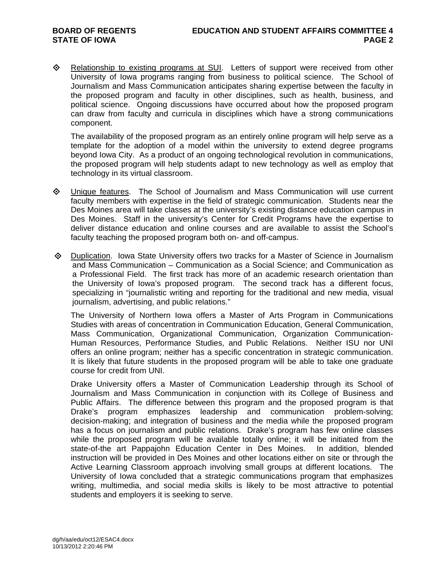**E** Relationship to existing programs at SUI. Letters of support were received from other University of Iowa programs ranging from business to political science. The School of Journalism and Mass Communication anticipates sharing expertise between the faculty in the proposed program and faculty in other disciplines, such as health, business, and political science. Ongoing discussions have occurred about how the proposed program can draw from faculty and curricula in disciplines which have a strong communications component.

The availability of the proposed program as an entirely online program will help serve as a template for the adoption of a model within the university to extend degree programs beyond Iowa City. As a product of an ongoing technological revolution in communications, the proposed program will help students adapt to new technology as well as employ that technology in its virtual classroom.

- Unique features. The School of Journalism and Mass Communication will use current faculty members with expertise in the field of strategic communication. Students near the Des Moines area will take classes at the university's existing distance education campus in Des Moines. Staff in the university's Center for Credit Programs have the expertise to deliver distance education and online courses and are available to assist the School's faculty teaching the proposed program both on- and off-campus.
- Duplication. Iowa State University offers two tracks for a Master of Science in Journalism and Mass Communication – Communication as a Social Science; and Communication as a Professional Field. The first track has more of an academic research orientation than the University of Iowa's proposed program. The second track has a different focus, specializing in "journalistic writing and reporting for the traditional and new media, visual journalism, advertising, and public relations."

The University of Northern Iowa offers a Master of Arts Program in Communications Studies with areas of concentration in Communication Education, General Communication, Mass Communication, Organizational Communication, Organization Communication-Human Resources, Performance Studies, and Public Relations. Neither ISU nor UNI offers an online program; neither has a specific concentration in strategic communication. It is likely that future students in the proposed program will be able to take one graduate course for credit from UNI.

Drake University offers a Master of Communication Leadership through its School of Journalism and Mass Communication in conjunction with its College of Business and Public Affairs. The difference between this program and the proposed program is that Drake's program emphasizes leadership and communication problem-solving; decision-making; and integration of business and the media while the proposed program has a focus on journalism and public relations. Drake's program has few online classes while the proposed program will be available totally online; it will be initiated from the state-of-the art Pappajohn Education Center in Des Moines. In addition, blended instruction will be provided in Des Moines and other locations either on site or through the Active Learning Classroom approach involving small groups at different locations. The University of Iowa concluded that a strategic communications program that emphasizes writing, multimedia, and social media skills is likely to be most attractive to potential students and employers it is seeking to serve.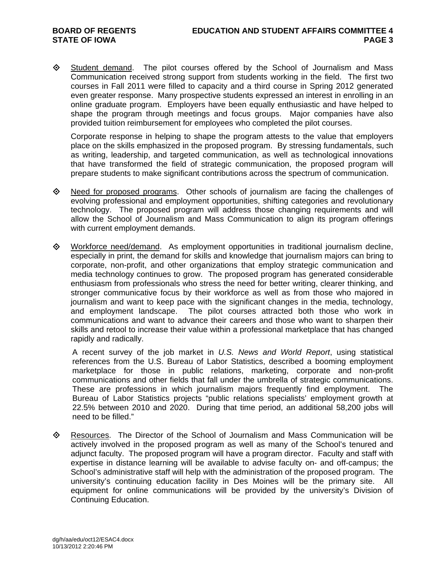$\diamond$  Student demand. The pilot courses offered by the School of Journalism and Mass Communication received strong support from students working in the field. The first two courses in Fall 2011 were filled to capacity and a third course in Spring 2012 generated even greater response. Many prospective students expressed an interest in enrolling in an online graduate program. Employers have been equally enthusiastic and have helped to shape the program through meetings and focus groups. Major companies have also provided tuition reimbursement for employees who completed the pilot courses.

Corporate response in helping to shape the program attests to the value that employers place on the skills emphasized in the proposed program. By stressing fundamentals, such as writing, leadership, and targeted communication, as well as technological innovations that have transformed the field of strategic communication, the proposed program will prepare students to make significant contributions across the spectrum of communication.

- $\Diamond$  Need for proposed programs. Other schools of journalism are facing the challenges of evolving professional and employment opportunities, shifting categories and revolutionary technology. The proposed program will address those changing requirements and will allow the School of Journalism and Mass Communication to align its program offerings with current employment demands.
- Workforce need/demand. As employment opportunities in traditional journalism decline, especially in print, the demand for skills and knowledge that journalism majors can bring to corporate, non-profit, and other organizations that employ strategic communication and media technology continues to grow. The proposed program has generated considerable enthusiasm from professionals who stress the need for better writing, clearer thinking, and stronger communicative focus by their workforce as well as from those who majored in journalism and want to keep pace with the significant changes in the media, technology, and employment landscape. The pilot courses attracted both those who work in communications and want to advance their careers and those who want to sharpen their skills and retool to increase their value within a professional marketplace that has changed rapidly and radically.

A recent survey of the job market in *U.S. News and World Report*, using statistical references from the U.S. Bureau of Labor Statistics, described a booming employment marketplace for those in public relations, marketing, corporate and non-profit communications and other fields that fall under the umbrella of strategic communications. These are professions in which journalism majors frequently find employment. The Bureau of Labor Statistics projects "public relations specialists' employment growth at 22.5% between 2010 and 2020. During that time period, an additional 58,200 jobs will need to be filled."

 Resources. The Director of the School of Journalism and Mass Communication will be actively involved in the proposed program as well as many of the School's tenured and adjunct faculty. The proposed program will have a program director. Faculty and staff with expertise in distance learning will be available to advise faculty on- and off-campus; the School's administrative staff will help with the administration of the proposed program. The university's continuing education facility in Des Moines will be the primary site. All equipment for online communications will be provided by the university's Division of Continuing Education.